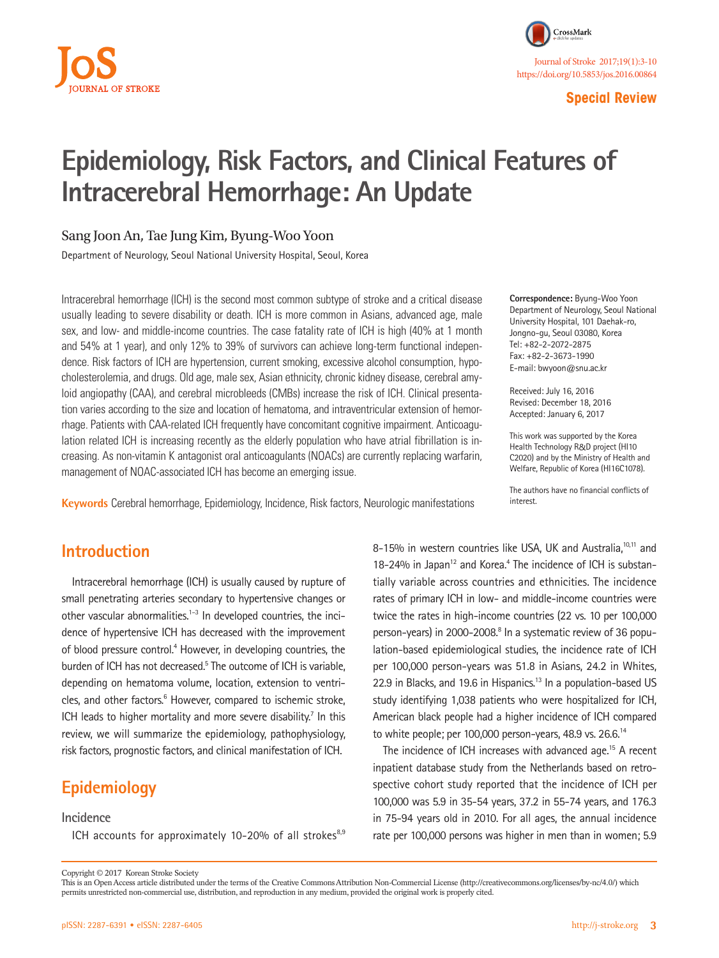

**Special Review**

# **Epidemiology, Risk Factors, and Clinical Features of Intracerebral Hemorrhage: An Update**

## Sang Joon An, Tae Jung Kim, Byung-Woo Yoon

Department of Neurology, Seoul National University Hospital, Seoul, Korea

Intracerebral hemorrhage (ICH) is the second most common subtype of stroke and a critical disease usually leading to severe disability or death. ICH is more common in Asians, advanced age, male sex, and low- and middle-income countries. The case fatality rate of ICH is high (40% at 1 month and 54% at 1 year), and only 12% to 39% of survivors can achieve long-term functional independence. Risk factors of ICH are hypertension, current smoking, excessive alcohol consumption, hypocholesterolemia, and drugs. Old age, male sex, Asian ethnicity, chronic kidney disease, cerebral amyloid angiopathy (CAA), and cerebral microbleeds (CMBs) increase the risk of ICH. Clinical presentation varies according to the size and location of hematoma, and intraventricular extension of hemorrhage. Patients with CAA-related ICH frequently have concomitant cognitive impairment. Anticoagulation related ICH is increasing recently as the elderly population who have atrial fibrillation is increasing. As non-vitamin K antagonist oral anticoagulants (NOACs) are currently replacing warfarin, management of NOAC-associated ICH has become an emerging issue.

**Keywords** Cerebral hemorrhage, Epidemiology, Incidence, Risk factors, Neurologic manifestations

**Correspondence:** Byung-Woo Yoon Department of Neurology, Seoul National University Hospital, 101 Daehak-ro, Jongno-gu, Seoul 03080, Korea Tel: +82-2-2072-2875 Fax: +82-2-3673-1990 E-mail: bwyoon@snu.ac.kr

Received: July 16, 2016 Revised: December 18, 2016 Accepted: January 6, 2017

This work was supported by the Korea Health Technology R&D project (HI10 C2020) and by the Ministry of Health and Welfare, Republic of Korea (HI16C1078).

The authors have no financial conflicts of interest.

## **Introduction**

Intracerebral hemorrhage (ICH) is usually caused by rupture of small penetrating arteries secondary to hypertensive changes or other vascular abnormalities.<sup>1-3</sup> In developed countries, the incidence of hypertensive ICH has decreased with the improvement of blood pressure control.<sup>4</sup> However, in developing countries, the burden of ICH has not decreased.<sup>5</sup> The outcome of ICH is variable, depending on hematoma volume, location, extension to ventricles, and other factors.<sup>6</sup> However, compared to ischemic stroke, ICH leads to higher mortality and more severe disability.<sup>7</sup> In this review, we will summarize the epidemiology, pathophysiology, risk factors, prognostic factors, and clinical manifestation of ICH.

# **Epidemiology**

### **Incidence**

ICH accounts for approximately 10-20% of all strokes $8,9$ 

8-15% in western countries like USA, UK and Australia,<sup>10,11</sup> and 18-24% in Japan<sup>12</sup> and Korea.<sup>4</sup> The incidence of ICH is substantially variable across countries and ethnicities. The incidence rates of primary ICH in low- and middle-income countries were twice the rates in high-income countries (22 vs. 10 per 100,000 person-years) in 2000-2008.<sup>8</sup> In a systematic review of 36 population-based epidemiological studies, the incidence rate of ICH per 100,000 person-years was 51.8 in Asians, 24.2 in Whites, 22.9 in Blacks, and 19.6 in Hispanics.<sup>13</sup> In a population-based US study identifying 1,038 patients who were hospitalized for ICH, American black people had a higher incidence of ICH compared to white people; per 100,000 person-years, 48.9 vs.  $26.6^{14}$ 

The incidence of ICH increases with advanced age.<sup>15</sup> A recent inpatient database study from the Netherlands based on retrospective cohort study reported that the incidence of ICH per 100,000 was 5.9 in 35-54 years, 37.2 in 55-74 years, and 176.3 in 75-94 years old in 2010. For all ages, the annual incidence rate per 100,000 persons was higher in men than in women; 5.9

Copyright © 2017 Korean Stroke Society

This is an Open Access article distributed under the terms of the Creative Commons Attribution Non-Commercial License (http://creativecommons.org/licenses/by-nc/4.0/) which permits unrestricted non-commercial use, distribution, and reproduction in any medium, provided the original work is properly cited.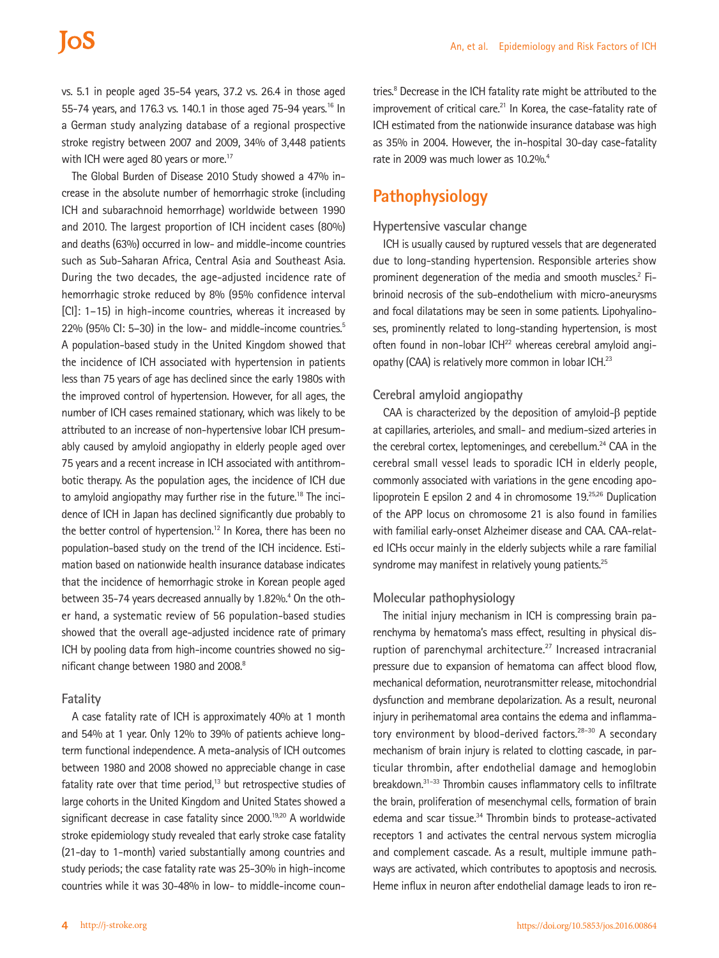# **JoS**

vs. 5.1 in people aged 35-54 years, 37.2 vs. 26.4 in those aged 55-74 years, and 176.3 vs. 140.1 in those aged 75-94 years.<sup>16</sup> In a German study analyzing database of a regional prospective stroke registry between 2007 and 2009, 34% of 3,448 patients with ICH were aged 80 years or more.<sup>17</sup>

The Global Burden of Disease 2010 Study showed a 47% increase in the absolute number of hemorrhagic stroke (including ICH and subarachnoid hemorrhage) worldwide between 1990 and 2010. The largest proportion of ICH incident cases (80%) and deaths (63%) occurred in low- and middle-income countries such as Sub-Saharan Africa, Central Asia and Southeast Asia. During the two decades, the age-adjusted incidence rate of hemorrhagic stroke reduced by 8% (95% confidence interval [CI]: 1–15) in high-income countries, whereas it increased by 22% (95% CI: 5-30) in the low- and middle-income countries.<sup>5</sup> A population-based study in the United Kingdom showed that the incidence of ICH associated with hypertension in patients less than 75 years of age has declined since the early 1980s with the improved control of hypertension. However, for all ages, the number of ICH cases remained stationary, which was likely to be attributed to an increase of non-hypertensive lobar ICH presumably caused by amyloid angiopathy in elderly people aged over 75 years and a recent increase in ICH associated with antithrombotic therapy. As the population ages, the incidence of ICH due to amyloid angiopathy may further rise in the future.<sup>18</sup> The incidence of ICH in Japan has declined significantly due probably to the better control of hypertension.<sup>12</sup> In Korea, there has been no population-based study on the trend of the ICH incidence. Estimation based on nationwide health insurance database indicates that the incidence of hemorrhagic stroke in Korean people aged between 35-74 years decreased annually by 1.82%.<sup>4</sup> On the other hand, a systematic review of 56 population-based studies showed that the overall age-adjusted incidence rate of primary ICH by pooling data from high-income countries showed no significant change between 1980 and 2008.<sup>8</sup>

#### **Fatality**

A case fatality rate of ICH is approximately 40% at 1 month and 54% at 1 year. Only 12% to 39% of patients achieve longterm functional independence. A meta-analysis of ICH outcomes between 1980 and 2008 showed no appreciable change in case fatality rate over that time period, $13$  but retrospective studies of large cohorts in the United Kingdom and United States showed a significant decrease in case fatality since 2000.<sup>19,20</sup> A worldwide stroke epidemiology study revealed that early stroke case fatality (21-day to 1-month) varied substantially among countries and study periods; the case fatality rate was 25-30% in high-income countries while it was 30-48% in low- to middle-income countries.<sup>8</sup> Decrease in the ICH fatality rate might be attributed to the improvement of critical care.<sup>21</sup> In Korea, the case-fatality rate of ICH estimated from the nationwide insurance database was high as 35% in 2004. However, the in-hospital 30-day case-fatality rate in 2009 was much lower as 10.2%.<sup>4</sup>

## **Pathophysiology**

### **Hypertensive vascular change**

ICH is usually caused by ruptured vessels that are degenerated due to long-standing hypertension. Responsible arteries show prominent degeneration of the media and smooth muscles.<sup>2</sup> Fibrinoid necrosis of the sub-endothelium with micro-aneurysms and focal dilatations may be seen in some patients. Lipohyalinoses, prominently related to long-standing hypertension, is most often found in non-lobar  $ICH<sup>22</sup>$  whereas cerebral amyloid angiopathy (CAA) is relatively more common in lobar ICH.<sup>23</sup>

### **Cerebral amyloid angiopathy**

CAA is characterized by the deposition of amyloid-β peptide at capillaries, arterioles, and small- and medium-sized arteries in the cerebral cortex, leptomeninges, and cerebellum.<sup>24</sup> CAA in the cerebral small vessel leads to sporadic ICH in elderly people, commonly associated with variations in the gene encoding apolipoprotein E epsilon 2 and 4 in chromosome 19.<sup>25,26</sup> Duplication of the APP locus on chromosome 21 is also found in families with familial early-onset Alzheimer disease and CAA. CAA-related ICHs occur mainly in the elderly subjects while a rare familial syndrome may manifest in relatively young patients.<sup>25</sup>

### **Molecular pathophysiology**

The initial injury mechanism in ICH is compressing brain parenchyma by hematoma's mass effect, resulting in physical disruption of parenchymal architecture.<sup>27</sup> Increased intracranial pressure due to expansion of hematoma can affect blood flow, mechanical deformation, neurotransmitter release, mitochondrial dysfunction and membrane depolarization. As a result, neuronal injury in perihematomal area contains the edema and inflammatory environment by blood-derived factors.<sup>28-30</sup> A secondary mechanism of brain injury is related to clotting cascade, in particular thrombin, after endothelial damage and hemoglobin breakdown.31–33 Thrombin causes inflammatory cells to infiltrate the brain, proliferation of mesenchymal cells, formation of brain edema and scar tissue.<sup>34</sup> Thrombin binds to protease-activated receptors 1 and activates the central nervous system microglia and complement cascade. As a result, multiple immune pathways are activated, which contributes to apoptosis and necrosis. Heme influx in neuron after endothelial damage leads to iron re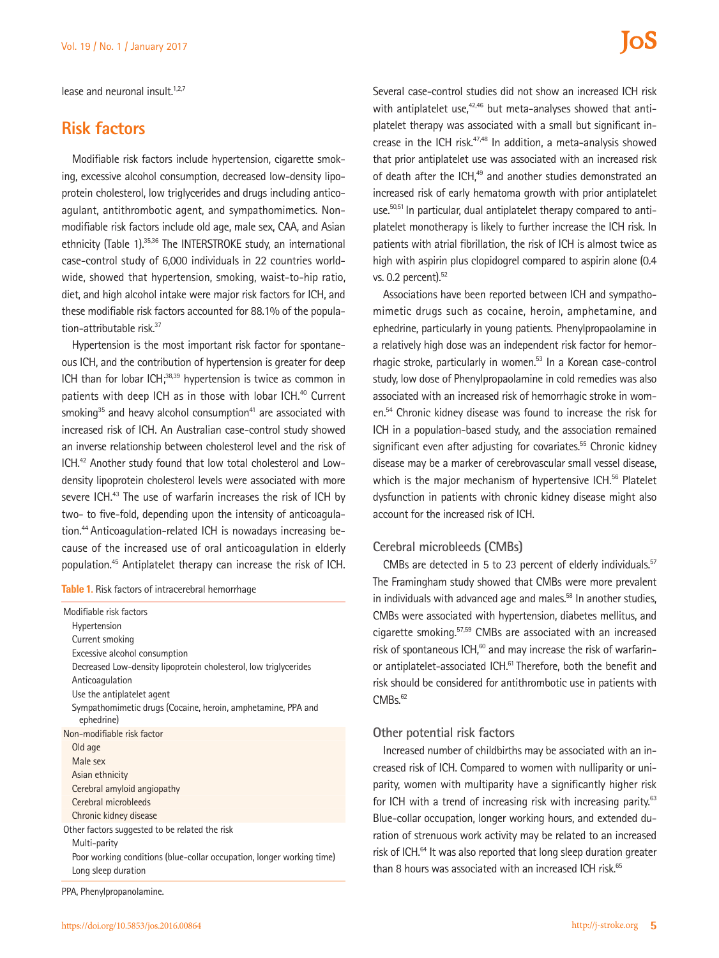lease and neuronal insult. $1,2,7$ 

## **Risk factors**

Modifiable risk factors include hypertension, cigarette smoking, excessive alcohol consumption, decreased low-density lipoprotein cholesterol, low triglycerides and drugs including anticoagulant, antithrombotic agent, and sympathomimetics. Nonmodifiable risk factors include old age, male sex, CAA, and Asian ethnicity (Table 1).<sup>35,36</sup> The INTERSTROKE study, an international case-control study of 6,000 individuals in 22 countries worldwide, showed that hypertension, smoking, waist-to-hip ratio, diet, and high alcohol intake were major risk factors for ICH, and these modifiable risk factors accounted for 88.1% of the population-attributable risk.<sup>37</sup>

Hypertension is the most important risk factor for spontaneous ICH, and the contribution of hypertension is greater for deep ICH than for lobar ICH;<sup>38,39</sup> hypertension is twice as common in patients with deep ICH as in those with lobar ICH.<sup>40</sup> Current smoking $35$  and heavy alcohol consumption $41$  are associated with increased risk of ICH. An Australian case-control study showed an inverse relationship between cholesterol level and the risk of ICH.42 Another study found that low total cholesterol and Lowdensity lipoprotein cholesterol levels were associated with more severe ICH.<sup>43</sup> The use of warfarin increases the risk of ICH by two- to five-fold, depending upon the intensity of anticoagulation.44 Anticoagulation-related ICH is nowadays increasing because of the increased use of oral anticoagulation in elderly population.45 Antiplatelet therapy can increase the risk of ICH.

**Table 1.** Risk factors of intracerebral hemorrhage

| Modifiable risk factors                                                    |
|----------------------------------------------------------------------------|
| Hypertension                                                               |
| Current smoking                                                            |
| Excessive alcohol consumption                                              |
| Decreased Low-density lipoprotein cholesterol, low triglycerides           |
| Anticoagulation                                                            |
| Use the antiplatelet agent                                                 |
| Sympathomimetic drugs (Cocaine, heroin, amphetamine, PPA and<br>ephedrine) |
| Non-modifiable risk factor                                                 |
| Old age                                                                    |
| Male sex                                                                   |
| Asian ethnicity                                                            |
| Cerebral amyloid angiopathy                                                |
| Cerebral microbleeds                                                       |
| Chronic kidney disease                                                     |
| Other factors suggested to be related the risk                             |
| Multi-parity                                                               |
| Poor working conditions (blue-collar occupation, longer working time)      |
| Long sleep duration                                                        |
|                                                                            |

PPA, Phenylpropanolamine.

Several case-control studies did not show an increased ICH risk with antiplatelet use, $42,46$  but meta-analyses showed that antiplatelet therapy was associated with a small but significant increase in the ICH risk.47,48 In addition, a meta-analysis showed that prior antiplatelet use was associated with an increased risk of death after the ICH,<sup>49</sup> and another studies demonstrated an increased risk of early hematoma growth with prior antiplatelet use.50,51 In particular, dual antiplatelet therapy compared to antiplatelet monotherapy is likely to further increase the ICH risk. In patients with atrial fibrillation, the risk of ICH is almost twice as high with aspirin plus clopidogrel compared to aspirin alone (0.4 vs. 0.2 percent).<sup>52</sup>

Associations have been reported between ICH and sympathomimetic drugs such as cocaine, heroin, amphetamine, and ephedrine, particularly in young patients. Phenylpropaolamine in a relatively high dose was an independent risk factor for hemorrhagic stroke, particularly in women.<sup>53</sup> In a Korean case-control study, low dose of Phenylpropaolamine in cold remedies was also associated with an increased risk of hemorrhagic stroke in women.54 Chronic kidney disease was found to increase the risk for ICH in a population-based study, and the association remained significant even after adjusting for covariates.<sup>55</sup> Chronic kidney disease may be a marker of cerebrovascular small vessel disease, which is the major mechanism of hypertensive ICH.<sup>56</sup> Platelet dysfunction in patients with chronic kidney disease might also account for the increased risk of ICH.

## **Cerebral microbleeds (CMBs)**

CMBs are detected in 5 to 23 percent of elderly individuals.<sup>57</sup> The Framingham study showed that CMBs were more prevalent in individuals with advanced age and males.<sup>58</sup> In another studies, CMBs were associated with hypertension, diabetes mellitus, and cigarette smoking.57,59 CMBs are associated with an increased risk of spontaneous ICH, $60$  and may increase the risk of warfarinor antiplatelet-associated ICH.<sup>61</sup> Therefore, both the benefit and risk should be considered for antithrombotic use in patients with  $CMBs.<sub>62</sub>$ 

### **Other potential risk factors**

Increased number of childbirths may be associated with an increased risk of ICH. Compared to women with nulliparity or uniparity, women with multiparity have a significantly higher risk for ICH with a trend of increasing risk with increasing parity.<sup>63</sup> Blue-collar occupation, longer working hours, and extended duration of strenuous work activity may be related to an increased risk of ICH.<sup>64</sup> It was also reported that long sleep duration greater than 8 hours was associated with an increased ICH risk.<sup>65</sup>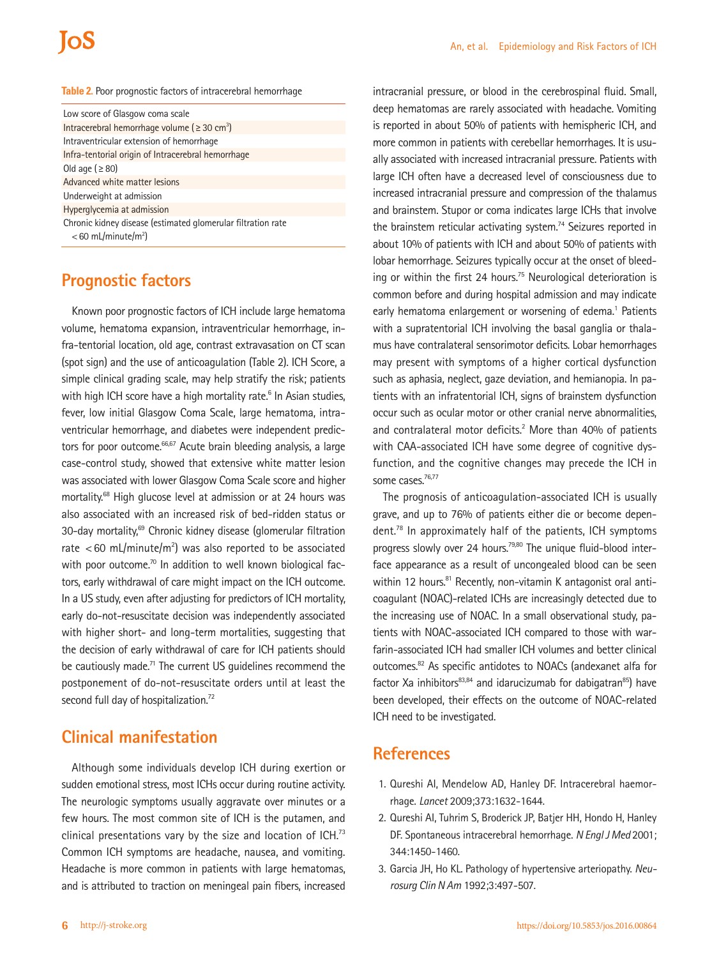# **IOS**

#### **Table 2.** Poor prognostic factors of intracerebral hemorrhage

| Low score of Glasgow coma scale                                                                   |
|---------------------------------------------------------------------------------------------------|
| Intracerebral hemorrhage volume ( $\geq 30$ cm <sup>3</sup> )                                     |
| Intraventricular extension of hemorrhage                                                          |
| Infra-tentorial origin of Intracerebral hemorrhage                                                |
| Old age ( $\geq$ 80)                                                                              |
| Advanced white matter lesions                                                                     |
| Underweight at admission                                                                          |
| Hyperglycemia at admission                                                                        |
| Chronic kidney disease (estimated glomerular filtration rate<br>$<$ 60 mL/minute/m <sup>2</sup> ) |

## **Prognostic factors**

Known poor prognostic factors of ICH include large hematoma volume, hematoma expansion, intraventricular hemorrhage, infra-tentorial location, old age, contrast extravasation on CT scan (spot sign) and the use of anticoagulation (Table 2). ICH Score, a simple clinical grading scale, may help stratify the risk; patients with high ICH score have a high mortality rate.<sup>6</sup> In Asian studies, fever, low initial Glasgow Coma Scale, large hematoma, intraventricular hemorrhage, and diabetes were independent predictors for poor outcome.<sup>66,67</sup> Acute brain bleeding analysis, a large case-control study, showed that extensive white matter lesion was associated with lower Glasgow Coma Scale score and higher mortality.68 High glucose level at admission or at 24 hours was also associated with an increased risk of bed-ridden status or 30-day mortality,<sup>69</sup> Chronic kidney disease (glomerular filtration rate <60 mL/minute/m<sup>2</sup>) was also reported to be associated with poor outcome.<sup>70</sup> In addition to well known biological factors, early withdrawal of care might impact on the ICH outcome. In a US study, even after adjusting for predictors of ICH mortality, early do-not-resuscitate decision was independently associated with higher short- and long-term mortalities, suggesting that the decision of early withdrawal of care for ICH patients should be cautiously made.<sup>71</sup> The current US guidelines recommend the postponement of do-not-resuscitate orders until at least the second full day of hospitalization.<sup>72</sup>

# **Clinical manifestation**

Although some individuals develop ICH during exertion or sudden emotional stress, most ICHs occur during routine activity. The neurologic symptoms usually aggravate over minutes or a few hours. The most common site of ICH is the putamen, and clinical presentations vary by the size and location of ICH.<sup>73</sup> Common ICH symptoms are headache, nausea, and vomiting. Headache is more common in patients with large hematomas, and is attributed to traction on meningeal pain fibers, increased

intracranial pressure, or blood in the cerebrospinal fluid. Small, deep hematomas are rarely associated with headache. Vomiting is reported in about 50% of patients with hemispheric ICH, and more common in patients with cerebellar hemorrhages. It is usually associated with increased intracranial pressure. Patients with large ICH often have a decreased level of consciousness due to increased intracranial pressure and compression of the thalamus and brainstem. Stupor or coma indicates large ICHs that involve the brainstem reticular activating system.<sup>74</sup> Seizures reported in about 10% of patients with ICH and about 50% of patients with lobar hemorrhage. Seizures typically occur at the onset of bleeding or within the first 24 hours.<sup>75</sup> Neurological deterioration is common before and during hospital admission and may indicate early hematoma enlargement or worsening of edema.<sup>1</sup> Patients with a supratentorial ICH involving the basal ganglia or thalamus have contralateral sensorimotor deficits. Lobar hemorrhages may present with symptoms of a higher cortical dysfunction such as aphasia, neglect, gaze deviation, and hemianopia. In patients with an infratentorial ICH, signs of brainstem dysfunction occur such as ocular motor or other cranial nerve abnormalities, and contralateral motor deficits.<sup>2</sup> More than 40% of patients with CAA-associated ICH have some degree of cognitive dysfunction, and the cognitive changes may precede the ICH in some cases.<sup>76,77</sup>

The prognosis of anticoagulation-associated ICH is usually grave, and up to 76% of patients either die or become dependent.78 In approximately half of the patients, ICH symptoms progress slowly over 24 hours.<sup>79,80</sup> The unique fluid-blood interface appearance as a result of uncongealed blood can be seen within 12 hours.<sup>81</sup> Recently, non-vitamin K antagonist oral anticoagulant (NOAC)-related ICHs are increasingly detected due to the increasing use of NOAC. In a small observational study, patients with NOAC-associated ICH compared to those with warfarin-associated ICH had smaller ICH volumes and better clinical outcomes.82 As specific antidotes to NOACs (andexanet alfa for factor Xa inhibitors $83,84$  and idarucizumab for dabigatran $85$ ) have been developed, their effects on the outcome of NOAC-related ICH need to be investigated.

## **References**

- 1. Qureshi AI, Mendelow AD, Hanley DF. Intracerebral haemorrhage. *Lancet* 2009;373:1632-1644.
- 2. Qureshi AI, Tuhrim S, Broderick JP, Batjer HH, Hondo H, Hanley DF. Spontaneous intracerebral hemorrhage. *N Engl J Med* 2001; 344:1450-1460.
- 3. Garcia JH, Ho KL. Pathology of hypertensive arteriopathy. *Neurosurg Clin N Am* 1992;3:497-507.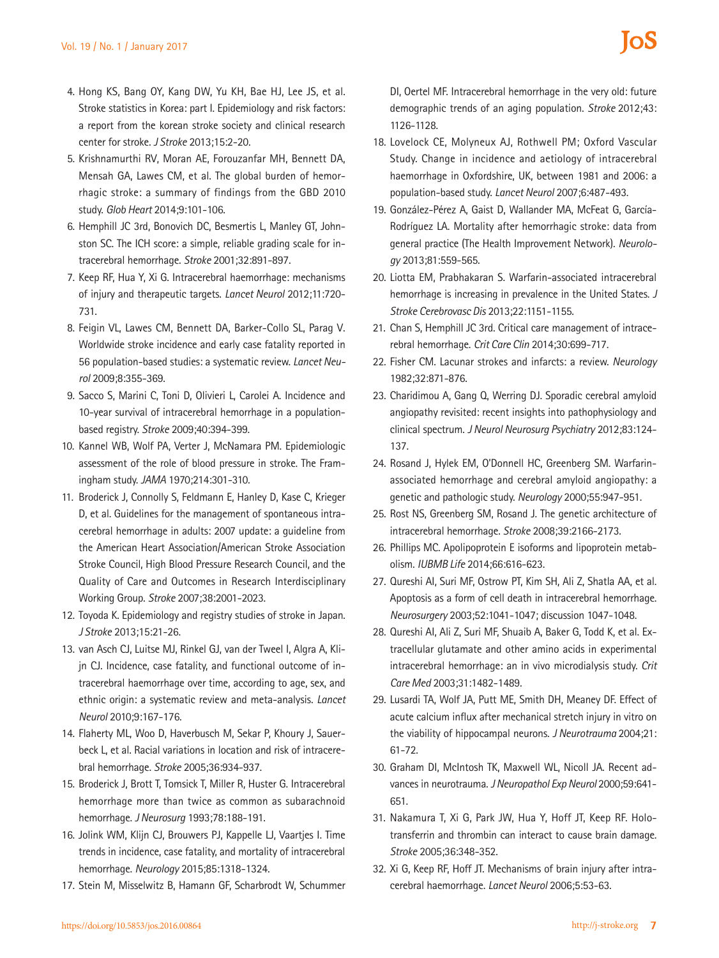- 4. Hong KS, Bang OY, Kang DW, Yu KH, Bae HJ, Lee JS, et al. Stroke statistics in Korea: part I. Epidemiology and risk factors: a report from the korean stroke society and clinical research center for stroke. *J Stroke* 2013;15:2-20.
- 5. Krishnamurthi RV, Moran AE, Forouzanfar MH, Bennett DA, Mensah GA, Lawes CM, et al. The global burden of hemorrhagic stroke: a summary of findings from the GBD 2010 study. *Glob Heart* 2014;9:101-106.
- 6. Hemphill JC 3rd, Bonovich DC, Besmertis L, Manley GT, Johnston SC. The ICH score: a simple, reliable grading scale for intracerebral hemorrhage. *Stroke* 2001;32:891-897.
- 7. Keep RF, Hua Y, Xi G. Intracerebral haemorrhage: mechanisms of injury and therapeutic targets. *Lancet Neurol* 2012;11:720- 731.
- 8. Feigin VL, Lawes CM, Bennett DA, Barker-Collo SL, Parag V. Worldwide stroke incidence and early case fatality reported in 56 population-based studies: a systematic review. *Lancet Neurol* 2009;8:355-369.
- 9. Sacco S, Marini C, Toni D, Olivieri L, Carolei A. Incidence and 10-year survival of intracerebral hemorrhage in a populationbased registry. *Stroke* 2009;40:394-399.
- 10. Kannel WB, Wolf PA, Verter J, McNamara PM. Epidemiologic assessment of the role of blood pressure in stroke. The Framingham study. *JAMA* 1970;214:301-310.
- 11. Broderick J, Connolly S, Feldmann E, Hanley D, Kase C, Krieger D, et al. Guidelines for the management of spontaneous intracerebral hemorrhage in adults: 2007 update: a guideline from the American Heart Association/American Stroke Association Stroke Council, High Blood Pressure Research Council, and the Quality of Care and Outcomes in Research Interdisciplinary Working Group. *Stroke* 2007;38:2001-2023.
- 12. Toyoda K. Epidemiology and registry studies of stroke in Japan. *J Stroke* 2013;15:21-26.
- 13. van Asch CJ, Luitse MJ, Rinkel GJ, van der Tweel I, Algra A, Klijn CJ. Incidence, case fatality, and functional outcome of intracerebral haemorrhage over time, according to age, sex, and ethnic origin: a systematic review and meta-analysis. *Lancet Neurol* 2010;9:167-176.
- 14. Flaherty ML, Woo D, Haverbusch M, Sekar P, Khoury J, Sauerbeck L, et al. Racial variations in location and risk of intracerebral hemorrhage. *Stroke* 2005;36:934-937.
- 15. Broderick J, Brott T, Tomsick T, Miller R, Huster G. Intracerebral hemorrhage more than twice as common as subarachnoid hemorrhage. *J Neurosurg* 1993;78:188-191.
- 16. Jolink WM, Klijn CJ, Brouwers PJ, Kappelle LJ, Vaartjes I. Time trends in incidence, case fatality, and mortality of intracerebral hemorrhage. *Neurology* 2015;85:1318-1324.
- 17. Stein M, Misselwitz B, Hamann GF, Scharbrodt W, Schummer

DI, Oertel MF. Intracerebral hemorrhage in the very old: future demographic trends of an aging population. *Stroke* 2012;43: 1126-1128.

- 18. Lovelock CE, Molyneux AJ, Rothwell PM; Oxford Vascular Study. Change in incidence and aetiology of intracerebral haemorrhage in Oxfordshire, UK, between 1981 and 2006: a population-based study. *Lancet Neurol* 2007;6:487-493.
- 19. González-Pérez A, Gaist D, Wallander MA, McFeat G, García-Rodríguez LA. Mortality after hemorrhagic stroke: data from general practice (The Health Improvement Network). *Neurology* 2013;81:559-565.
- 20. Liotta EM, Prabhakaran S. Warfarin-associated intracerebral hemorrhage is increasing in prevalence in the United States. *J Stroke Cerebrovasc Dis* 2013;22:1151-1155.
- 21. Chan S, Hemphill JC 3rd. Critical care management of intracerebral hemorrhage. *Crit Care Clin* 2014;30:699-717.
- 22. Fisher CM. Lacunar strokes and infarcts: a review. *Neurology*  1982;32:871-876.
- 23. Charidimou A, Gang Q, Werring DJ. Sporadic cerebral amyloid angiopathy revisited: recent insights into pathophysiology and clinical spectrum. *J Neurol Neurosurg Psychiatry* 2012;83:124- 137.
- 24. Rosand J, Hylek EM, O'Donnell HC, Greenberg SM. Warfarinassociated hemorrhage and cerebral amyloid angiopathy: a genetic and pathologic study. *Neurology* 2000;55:947-951.
- 25. Rost NS, Greenberg SM, Rosand J. The genetic architecture of intracerebral hemorrhage. *Stroke* 2008;39:2166-2173.
- 26. Phillips MC. Apolipoprotein E isoforms and lipoprotein metabolism. *IUBMB Life* 2014;66:616-623.
- 27. Qureshi AI, Suri MF, Ostrow PT, Kim SH, Ali Z, Shatla AA, et al. Apoptosis as a form of cell death in intracerebral hemorrhage. *Neurosurgery* 2003;52:1041-1047; discussion 1047-1048.
- 28. Qureshi AI, Ali Z, Suri MF, Shuaib A, Baker G, Todd K, et al. Extracellular glutamate and other amino acids in experimental intracerebral hemorrhage: an in vivo microdialysis study. *Crit Care Med* 2003;31:1482-1489.
- 29. Lusardi TA, Wolf JA, Putt ME, Smith DH, Meaney DF. Effect of acute calcium influx after mechanical stretch injury in vitro on the viability of hippocampal neurons. *J Neurotrauma* 2004;21: 61-72.
- 30. Graham DI, McIntosh TK, Maxwell WL, Nicoll JA. Recent advances in neurotrauma. *J Neuropathol Exp Neurol* 2000;59:641- 651.
- 31. Nakamura T, Xi G, Park JW, Hua Y, Hoff JT, Keep RF. Holotransferrin and thrombin can interact to cause brain damage. *Stroke* 2005;36:348-352.
- 32. Xi G, Keep RF, Hoff JT. Mechanisms of brain injury after intracerebral haemorrhage. *Lancet Neurol* 2006;5:53-63.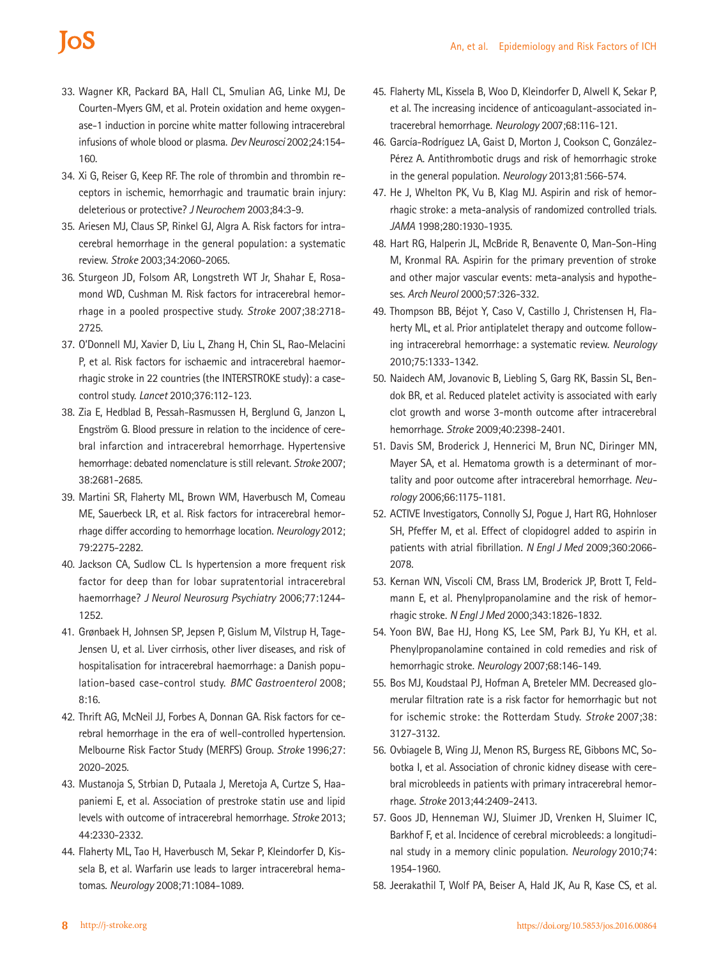# **IoS**

- 33. Wagner KR, Packard BA, Hall CL, Smulian AG, Linke MJ, De Courten-Myers GM, et al. Protein oxidation and heme oxygenase-1 induction in porcine white matter following intracerebral infusions of whole blood or plasma. *Dev Neurosci* 2002;24:154- 160.
- 34. Xi G, Reiser G, Keep RF. The role of thrombin and thrombin receptors in ischemic, hemorrhagic and traumatic brain injury: deleterious or protective? *J Neurochem* 2003;84:3-9.
- 35. Ariesen MJ, Claus SP, Rinkel GJ, Algra A. Risk factors for intracerebral hemorrhage in the general population: a systematic review. *Stroke* 2003;34:2060-2065.
- 36. Sturgeon JD, Folsom AR, Longstreth WT Jr, Shahar E, Rosamond WD, Cushman M. Risk factors for intracerebral hemorrhage in a pooled prospective study. *Stroke* 2007;38:2718- 2725.
- 37. O'Donnell MJ, Xavier D, Liu L, Zhang H, Chin SL, Rao-Melacini P, et al. Risk factors for ischaemic and intracerebral haemorrhagic stroke in 22 countries (the INTERSTROKE study): a casecontrol study. *Lancet* 2010;376:112-123.
- 38. Zia E, Hedblad B, Pessah-Rasmussen H, Berglund G, Janzon L, Engström G. Blood pressure in relation to the incidence of cerebral infarction and intracerebral hemorrhage. Hypertensive hemorrhage: debated nomenclature is still relevant. *Stroke* 2007; 38:2681-2685.
- 39. Martini SR, Flaherty ML, Brown WM, Haverbusch M, Comeau ME, Sauerbeck LR, et al. Risk factors for intracerebral hemorrhage differ according to hemorrhage location. *Neurology* 2012; 79:2275-2282.
- 40. Jackson CA, Sudlow CL. Is hypertension a more frequent risk factor for deep than for lobar supratentorial intracerebral haemorrhage? *J Neurol Neurosurg Psychiatry* 2006;77:1244- 1252.
- 41. Grønbaek H, Johnsen SP, Jepsen P, Gislum M, Vilstrup H, Tage-Jensen U, et al. Liver cirrhosis, other liver diseases, and risk of hospitalisation for intracerebral haemorrhage: a Danish population-based case-control study. *BMC Gastroenterol* 2008; 8:16.
- 42. Thrift AG, McNeil JJ, Forbes A, Donnan GA. Risk factors for cerebral hemorrhage in the era of well-controlled hypertension. Melbourne Risk Factor Study (MERFS) Group. *Stroke* 1996;27: 2020-2025.
- 43. Mustanoja S, Strbian D, Putaala J, Meretoja A, Curtze S, Haapaniemi E, et al. Association of prestroke statin use and lipid levels with outcome of intracerebral hemorrhage. *Stroke* 2013; 44:2330-2332.
- 44. Flaherty ML, Tao H, Haverbusch M, Sekar P, Kleindorfer D, Kissela B, et al. Warfarin use leads to larger intracerebral hematomas. *Neurology* 2008;71:1084-1089.
- 45. Flaherty ML, Kissela B, Woo D, Kleindorfer D, Alwell K, Sekar P, et al. The increasing incidence of anticoagulant-associated intracerebral hemorrhage. *Neurology* 2007;68:116-121.
- 46. García-Rodríguez LA, Gaist D, Morton J, Cookson C, González-Pérez A. Antithrombotic drugs and risk of hemorrhagic stroke in the general population. *Neurology* 2013;81:566-574.
- 47. He J, Whelton PK, Vu B, Klag MJ. Aspirin and risk of hemorrhagic stroke: a meta-analysis of randomized controlled trials. *JAMA* 1998;280:1930-1935.
- 48. Hart RG, Halperin JL, McBride R, Benavente O, Man-Son-Hing M, Kronmal RA. Aspirin for the primary prevention of stroke and other major vascular events: meta-analysis and hypotheses. *Arch Neurol* 2000;57:326-332.
- 49. Thompson BB, Béjot Y, Caso V, Castillo J, Christensen H, Flaherty ML, et al. Prior antiplatelet therapy and outcome following intracerebral hemorrhage: a systematic review. *Neurology*  2010;75:1333-1342.
- 50. Naidech AM, Jovanovic B, Liebling S, Garg RK, Bassin SL, Bendok BR, et al. Reduced platelet activity is associated with early clot growth and worse 3-month outcome after intracerebral hemorrhage. *Stroke* 2009;40:2398-2401.
- 51. Davis SM, Broderick J, Hennerici M, Brun NC, Diringer MN, Mayer SA, et al. Hematoma growth is a determinant of mortality and poor outcome after intracerebral hemorrhage. *Neurology* 2006;66:1175-1181.
- 52. ACTIVE Investigators, Connolly SJ, Pogue J, Hart RG, Hohnloser SH, Pfeffer M, et al. Effect of clopidogrel added to aspirin in patients with atrial fibrillation. *N Engl J Med* 2009;360:2066- 2078.
- 53. Kernan WN, Viscoli CM, Brass LM, Broderick JP, Brott T, Feldmann E, et al. Phenylpropanolamine and the risk of hemorrhagic stroke. *N Engl J Med* 2000;343:1826-1832.
- 54. Yoon BW, Bae HJ, Hong KS, Lee SM, Park BJ, Yu KH, et al. Phenylpropanolamine contained in cold remedies and risk of hemorrhagic stroke. *Neurology* 2007;68:146-149.
- 55. Bos MJ, Koudstaal PJ, Hofman A, Breteler MM. Decreased glomerular filtration rate is a risk factor for hemorrhagic but not for ischemic stroke: the Rotterdam Study. *Stroke* 2007;38: 3127-3132.
- 56. Ovbiagele B, Wing JJ, Menon RS, Burgess RE, Gibbons MC, Sobotka I, et al. Association of chronic kidney disease with cerebral microbleeds in patients with primary intracerebral hemorrhage. *Stroke* 2013;44:2409-2413.
- 57. Goos JD, Henneman WJ, Sluimer JD, Vrenken H, Sluimer IC, Barkhof F, et al. Incidence of cerebral microbleeds: a longitudinal study in a memory clinic population. *Neurology* 2010;74: 1954-1960.
- 58. Jeerakathil T, Wolf PA, Beiser A, Hald JK, Au R, Kase CS, et al.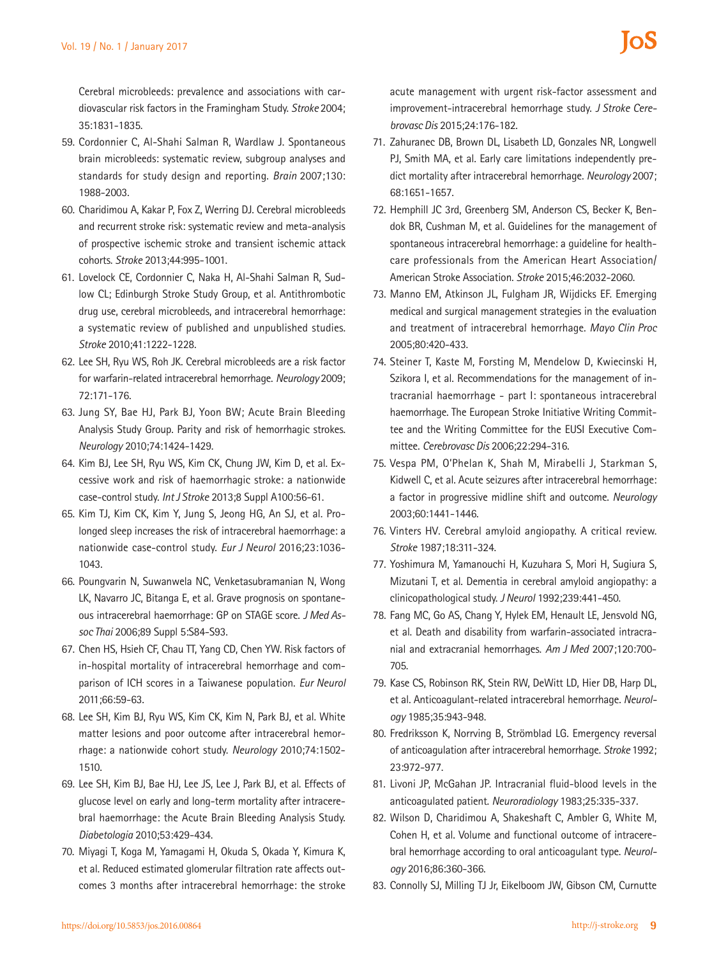Cerebral microbleeds: prevalence and associations with cardiovascular risk factors in the Framingham Study. *Stroke* 2004; 35:1831-1835.

- 59. Cordonnier C, Al-Shahi Salman R, Wardlaw J. Spontaneous brain microbleeds: systematic review, subgroup analyses and standards for study design and reporting. *Brain* 2007;130: 1988-2003.
- 60. Charidimou A, Kakar P, Fox Z, Werring DJ. Cerebral microbleeds and recurrent stroke risk: systematic review and meta-analysis of prospective ischemic stroke and transient ischemic attack cohorts. *Stroke* 2013;44:995-1001.
- 61. Lovelock CE, Cordonnier C, Naka H, Al-Shahi Salman R, Sudlow CL; Edinburgh Stroke Study Group, et al. Antithrombotic drug use, cerebral microbleeds, and intracerebral hemorrhage: a systematic review of published and unpublished studies. *Stroke* 2010;41:1222-1228.
- 62. Lee SH, Ryu WS, Roh JK. Cerebral microbleeds are a risk factor for warfarin-related intracerebral hemorrhage. *Neurology* 2009; 72:171-176.
- 63. Jung SY, Bae HJ, Park BJ, Yoon BW; Acute Brain Bleeding Analysis Study Group. Parity and risk of hemorrhagic strokes. *Neurology* 2010;74:1424-1429.
- 64. Kim BJ, Lee SH, Ryu WS, Kim CK, Chung JW, Kim D, et al. Excessive work and risk of haemorrhagic stroke: a nationwide case-control study. *Int J Stroke* 2013;8 Suppl A100:56-61.
- 65. Kim TJ, Kim CK, Kim Y, Jung S, Jeong HG, An SJ, et al. Prolonged sleep increases the risk of intracerebral haemorrhage: a nationwide case-control study. *Eur J Neurol* 2016;23:1036- 1043.
- 66. Poungvarin N, Suwanwela NC, Venketasubramanian N, Wong LK, Navarro JC, Bitanga E, et al. Grave prognosis on spontaneous intracerebral haemorrhage: GP on STAGE score. *J Med Assoc Thai* 2006;89 Suppl 5:S84-S93.
- 67. Chen HS, Hsieh CF, Chau TT, Yang CD, Chen YW. Risk factors of in-hospital mortality of intracerebral hemorrhage and comparison of ICH scores in a Taiwanese population. *Eur Neurol*  2011;66:59-63.
- 68. Lee SH, Kim BJ, Ryu WS, Kim CK, Kim N, Park BJ, et al. White matter lesions and poor outcome after intracerebral hemorrhage: a nationwide cohort study. *Neurology* 2010;74:1502- 1510.
- 69. Lee SH, Kim BJ, Bae HJ, Lee JS, Lee J, Park BJ, et al. Effects of glucose level on early and long-term mortality after intracerebral haemorrhage: the Acute Brain Bleeding Analysis Study. *Diabetologia* 2010;53:429-434.
- 70. Miyagi T, Koga M, Yamagami H, Okuda S, Okada Y, Kimura K, et al. Reduced estimated glomerular filtration rate affects outcomes 3 months after intracerebral hemorrhage: the stroke

acute management with urgent risk-factor assessment and improvement-intracerebral hemorrhage study. *J Stroke Cerebrovasc Dis* 2015;24:176-182.

- 71. Zahuranec DB, Brown DL, Lisabeth LD, Gonzales NR, Longwell PJ, Smith MA, et al. Early care limitations independently predict mortality after intracerebral hemorrhage. *Neurology* 2007; 68:1651-1657.
- 72. Hemphill JC 3rd, Greenberg SM, Anderson CS, Becker K, Bendok BR, Cushman M, et al. Guidelines for the management of spontaneous intracerebral hemorrhage: a guideline for healthcare professionals from the American Heart Association/ American Stroke Association. *Stroke* 2015;46:2032-2060.
- 73. Manno EM, Atkinson JL, Fulgham JR, Wijdicks EF. Emerging medical and surgical management strategies in the evaluation and treatment of intracerebral hemorrhage. *Mayo Clin Proc*  2005;80:420-433.
- 74. Steiner T, Kaste M, Forsting M, Mendelow D, Kwiecinski H, Szikora I, et al. Recommendations for the management of intracranial haemorrhage - part I: spontaneous intracerebral haemorrhage. The European Stroke Initiative Writing Committee and the Writing Committee for the EUSI Executive Committee. *Cerebrovasc Dis* 2006;22:294-316.
- 75. Vespa PM, O'Phelan K, Shah M, Mirabelli J, Starkman S, Kidwell C, et al. Acute seizures after intracerebral hemorrhage: a factor in progressive midline shift and outcome. *Neurology*  2003;60:1441-1446.
- 76. Vinters HV. Cerebral amyloid angiopathy. A critical review. *Stroke* 1987;18:311-324.
- 77. Yoshimura M, Yamanouchi H, Kuzuhara S, Mori H, Sugiura S, Mizutani T, et al. Dementia in cerebral amyloid angiopathy: a clinicopathological study. *J Neurol* 1992;239:441-450.
- 78. Fang MC, Go AS, Chang Y, Hylek EM, Henault LE, Jensvold NG, et al. Death and disability from warfarin-associated intracranial and extracranial hemorrhages. *Am J Med* 2007;120:700- 705.
- 79. Kase CS, Robinson RK, Stein RW, DeWitt LD, Hier DB, Harp DL, et al. Anticoagulant-related intracerebral hemorrhage. *Neurology* 1985;35:943-948.
- 80. Fredriksson K, Norrving B, Strömblad LG. Emergency reversal of anticoagulation after intracerebral hemorrhage. *Stroke* 1992; 23:972-977.
- 81. Livoni JP, McGahan JP. Intracranial fluid-blood levels in the anticoagulated patient. *Neuroradiology* 1983;25:335-337.
- 82. Wilson D, Charidimou A, Shakeshaft C, Ambler G, White M, Cohen H, et al. Volume and functional outcome of intracerebral hemorrhage according to oral anticoagulant type. *Neurology* 2016;86:360-366.
- 83. Connolly SJ, Milling TJ Jr, Eikelboom JW, Gibson CM, Curnutte